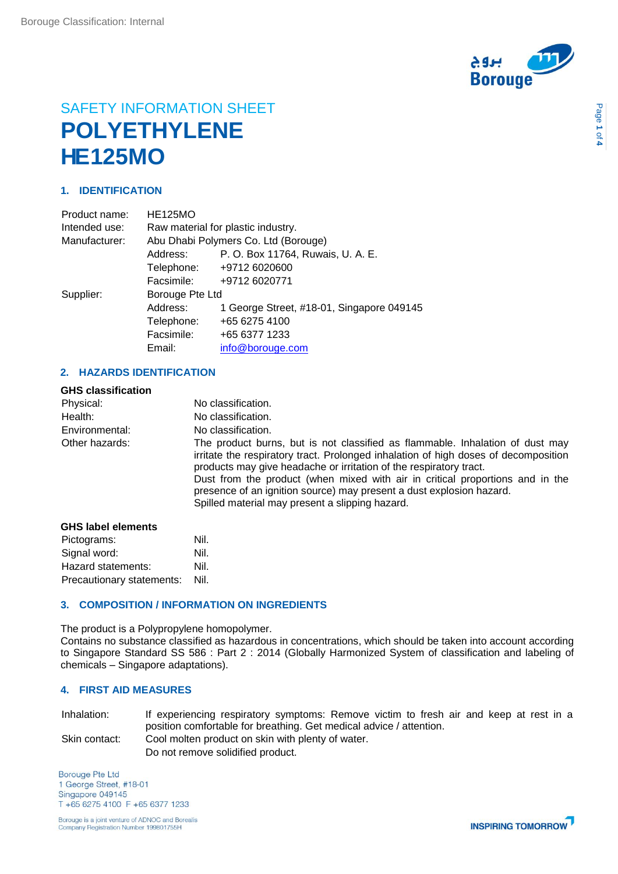

# SAFETY INFORMATION SHEET **POLYETHYLENE HE125MO**

## **1. IDENTIFICATION**

| <b>HE125MO</b>                       |                                           |  |
|--------------------------------------|-------------------------------------------|--|
| Raw material for plastic industry.   |                                           |  |
| Abu Dhabi Polymers Co. Ltd (Borouge) |                                           |  |
| Address:                             | P. O. Box 11764, Ruwais, U. A. E.         |  |
|                                      | Telephone: +9712 6020600                  |  |
| Facsimile:                           | +9712 6020771                             |  |
| Borouge Pte Ltd                      |                                           |  |
| Address:                             | 1 George Street, #18-01, Singapore 049145 |  |
| Telephone:                           | +65 6275 4100                             |  |
| Facsimile:                           | +65 6377 1233                             |  |
| Email:                               | info@borouge.com                          |  |
|                                      |                                           |  |

## **2. HAZARDS IDENTIFICATION**

| <b>GHS classification</b> |                                                                                                                                                                                                                                                                                                                                                                                                                                                        |
|---------------------------|--------------------------------------------------------------------------------------------------------------------------------------------------------------------------------------------------------------------------------------------------------------------------------------------------------------------------------------------------------------------------------------------------------------------------------------------------------|
| Physical:                 | No classification.                                                                                                                                                                                                                                                                                                                                                                                                                                     |
| Health:                   | No classification.                                                                                                                                                                                                                                                                                                                                                                                                                                     |
| Environmental:            | No classification.                                                                                                                                                                                                                                                                                                                                                                                                                                     |
| Other hazards:            | The product burns, but is not classified as flammable. Inhalation of dust may<br>irritate the respiratory tract. Prolonged inhalation of high doses of decomposition<br>products may give headache or irritation of the respiratory tract.<br>Dust from the product (when mixed with air in critical proportions and in the<br>presence of an ignition source) may present a dust explosion hazard.<br>Spilled material may present a slipping hazard. |
| CHS Inhal alamante        |                                                                                                                                                                                                                                                                                                                                                                                                                                                        |

| GHS label elements        |      |
|---------------------------|------|
| Pictograms:               | Nil. |
| Signal word:              | Nil. |
| Hazard statements:        | Nil. |
| Precautionary statements: | Nil. |

## **3. COMPOSITION / INFORMATION ON INGREDIENTS**

The product is a Polypropylene homopolymer. Contains no substance classified as hazardous in concentrations, which should be taken into account according to Singapore Standard SS 586 : Part 2 : 2014 (Globally Harmonized System of classification and labeling of chemicals – Singapore adaptations).

### **4. FIRST AID MEASURES**

| Inhalation:   | If experiencing respiratory symptoms: Remove victim to fresh air and keep at rest in a |
|---------------|----------------------------------------------------------------------------------------|
|               | position comfortable for breathing. Get medical advice / attention.                    |
| Skin contact: | Cool molten product on skin with plenty of water.                                      |
|               | Do not remove solidified product.                                                      |

**Borouge Pte Ltd** 1 George Street, #18-01 Singapore 049145 T +65 6275 4100 F +65 6377 1233

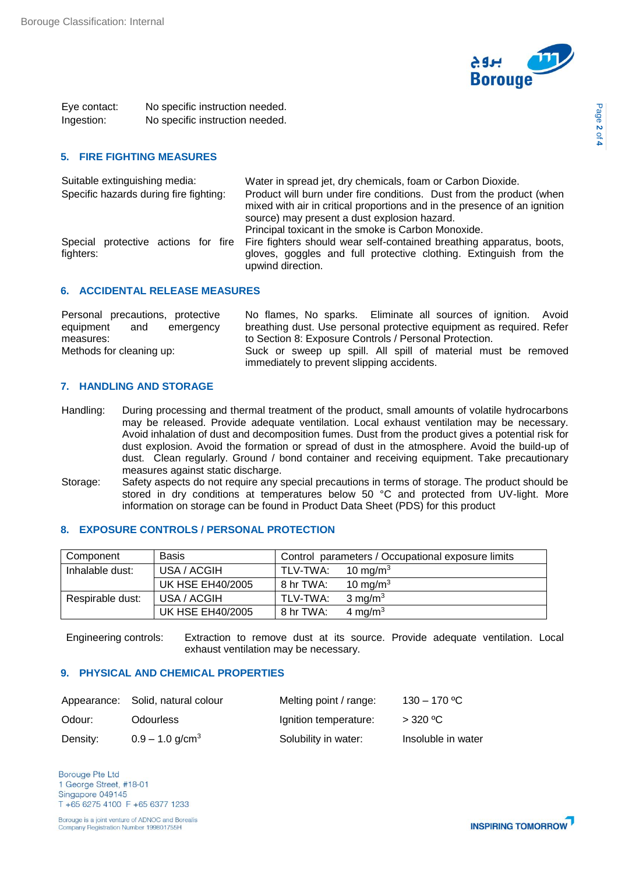

Page **2** of **4**

Eye contact: No specific instruction needed. Ingestion: No specific instruction needed.

## **5. FIRE FIGHTING MEASURES**

| Suitable extinguishing media:          | Water in spread jet, dry chemicals, foam or Carbon Dioxide.                                                                                                                                       |
|----------------------------------------|---------------------------------------------------------------------------------------------------------------------------------------------------------------------------------------------------|
| Specific hazards during fire fighting: | Product will burn under fire conditions. Dust from the product (when<br>mixed with air in critical proportions and in the presence of an ignition<br>source) may present a dust explosion hazard. |
|                                        | Principal toxicant in the smoke is Carbon Monoxide.                                                                                                                                               |
| Special<br>fighters:                   | protective actions for fire Fire fighters should wear self-contained breathing apparatus, boots,<br>gloves, goggles and full protective clothing. Extinguish from the<br>upwind direction.        |

#### **6. ACCIDENTAL RELEASE MEASURES**

| Personal precautions, protective | No flames, No sparks. Eliminate all sources of ignition. Avoid       |  |  |
|----------------------------------|----------------------------------------------------------------------|--|--|
| equipment and<br>emergency       | breathing dust. Use personal protective equipment as required. Refer |  |  |
| measures:                        | to Section 8: Exposure Controls / Personal Protection.               |  |  |
| Methods for cleaning up:         | Suck or sweep up spill. All spill of material must be removed        |  |  |
|                                  | immediately to prevent slipping accidents.                           |  |  |

### **7. HANDLING AND STORAGE**

- Handling: During processing and thermal treatment of the product, small amounts of volatile hydrocarbons may be released. Provide adequate ventilation. Local exhaust ventilation may be necessary. Avoid inhalation of dust and decomposition fumes. Dust from the product gives a potential risk for dust explosion. Avoid the formation or spread of dust in the atmosphere. Avoid the build-up of dust. Clean regularly. Ground / bond container and receiving equipment. Take precautionary measures against static discharge.
- Storage: Safety aspects do not require any special precautions in terms of storage. The product should be stored in dry conditions at temperatures below 50 °C and protected from UV-light. More information on storage can be found in Product Data Sheet (PDS) for this product

## **8. EXPOSURE CONTROLS / PERSONAL PROTECTION**

| Component        | <b>Basis</b>            |           | Control parameters / Occupational exposure limits |
|------------------|-------------------------|-----------|---------------------------------------------------|
| Inhalable dust:  | USA / ACGIH             | TLV-TWA:  | 10 mg/m <sup>3</sup>                              |
|                  | <b>UK HSE EH40/2005</b> | 8 hr TWA: | 10 mg/m <sup>3</sup>                              |
| Respirable dust: | USA / ACGIH             | TLV-TWA:  | $3 \text{ mg/m}^3$                                |
|                  | <b>UK HSE EH40/2005</b> | 8 hr TWA: | 4 mg/m <sup>3</sup>                               |

Engineering controls: Extraction to remove dust at its source. Provide adequate ventilation. Local exhaust ventilation may be necessary.

#### **9. PHYSICAL AND CHEMICAL PROPERTIES**

|          | Appearance: Solid, natural colour | Melting point / range: | $130 - 170$ °C     |
|----------|-----------------------------------|------------------------|--------------------|
| Odour:   | <b>Odourless</b>                  | Ignition temperature:  | $>$ 320 °C         |
| Density: | $0.9 - 1.0$ g/cm <sup>3</sup>     | Solubility in water:   | Insoluble in water |

**Borouge Pte Ltd** 1 George Street, #18-01 Singapore 049145 T +65 6275 4100 F +65 6377 1233

Borouge is a joint venture of ADNOC and Borealis Company Registration Number 199801755H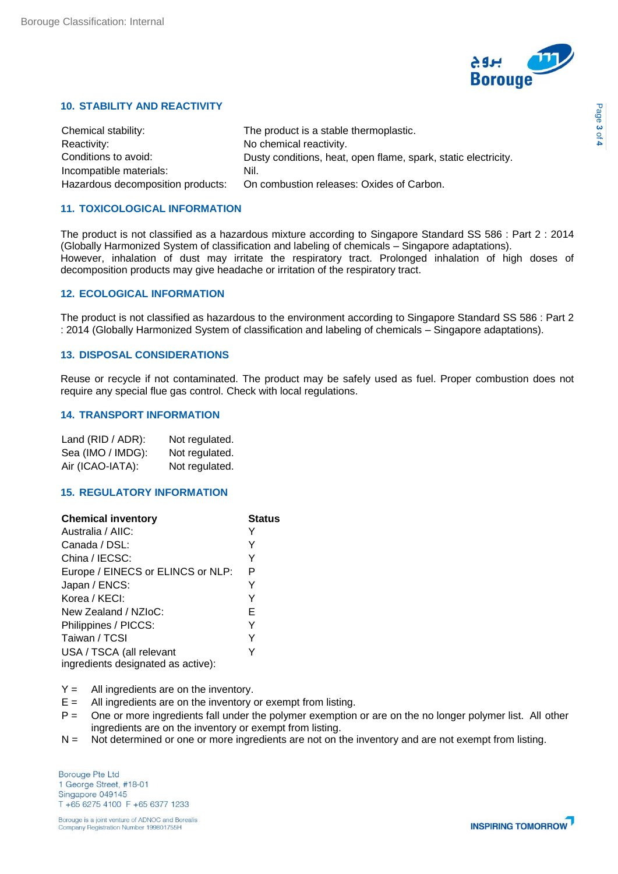

## **10. STABILITY AND REACTIVITY**

| Chemical stability:               | The product is a stable thermoplastic.                         |
|-----------------------------------|----------------------------------------------------------------|
| Reactivity:                       | No chemical reactivity.                                        |
| Conditions to avoid:              | Dusty conditions, heat, open flame, spark, static electricity. |
| Incompatible materials:           | Nil.                                                           |
| Hazardous decomposition products: | On combustion releases: Oxides of Carbon.                      |

## **11. TOXICOLOGICAL INFORMATION**

The product is not classified as a hazardous mixture according to Singapore Standard SS 586 : Part 2 : 2014 (Globally Harmonized System of classification and labeling of chemicals – Singapore adaptations). However, inhalation of dust may irritate the respiratory tract. Prolonged inhalation of high doses of decomposition products may give headache or irritation of the respiratory tract.

#### **12. ECOLOGICAL INFORMATION**

The product is not classified as hazardous to the environment according to Singapore Standard SS 586 : Part 2 : 2014 (Globally Harmonized System of classification and labeling of chemicals – Singapore adaptations).

#### **13. DISPOSAL CONSIDERATIONS**

Reuse or recycle if not contaminated. The product may be safely used as fuel. Proper combustion does not require any special flue gas control. Check with local regulations.

#### **14. TRANSPORT INFORMATION**

| Land (RID / ADR): | Not regulated. |
|-------------------|----------------|
| Sea (IMO / IMDG): | Not regulated. |
| Air (ICAO-IATA):  | Not regulated. |

#### **15. REGULATORY INFORMATION**

| <b>Chemical inventory</b>          | Status |
|------------------------------------|--------|
| Australia / AIIC:                  |        |
| Canada / DSL:                      | Y      |
| China / IECSC:                     | Y      |
| Europe / EINECS or ELINCS or NLP:  | P      |
| Japan / ENCS:                      | Y      |
| Korea / KECI:                      | Y      |
| New Zealand / NZIoC:               | Е      |
| Philippines / PICCS:               | Y      |
| Taiwan / TCSI                      | Y      |
| USA / TSCA (all relevant           |        |
| ingredients designated as active): |        |

 $Y =$  All ingredients are on the inventory.

- $E =$  All ingredients are on the inventory or exempt from listing.
- P = One or more ingredients fall under the polymer exemption or are on the no longer polymer list. All other ingredients are on the inventory or exempt from listing.
- N = Not determined or one or more ingredients are not on the inventory and are not exempt from listing.

**Borouge Pte Ltd** 1 George Street, #18-01 Singapore 049145 T +65 6275 4100 F +65 6377 1233